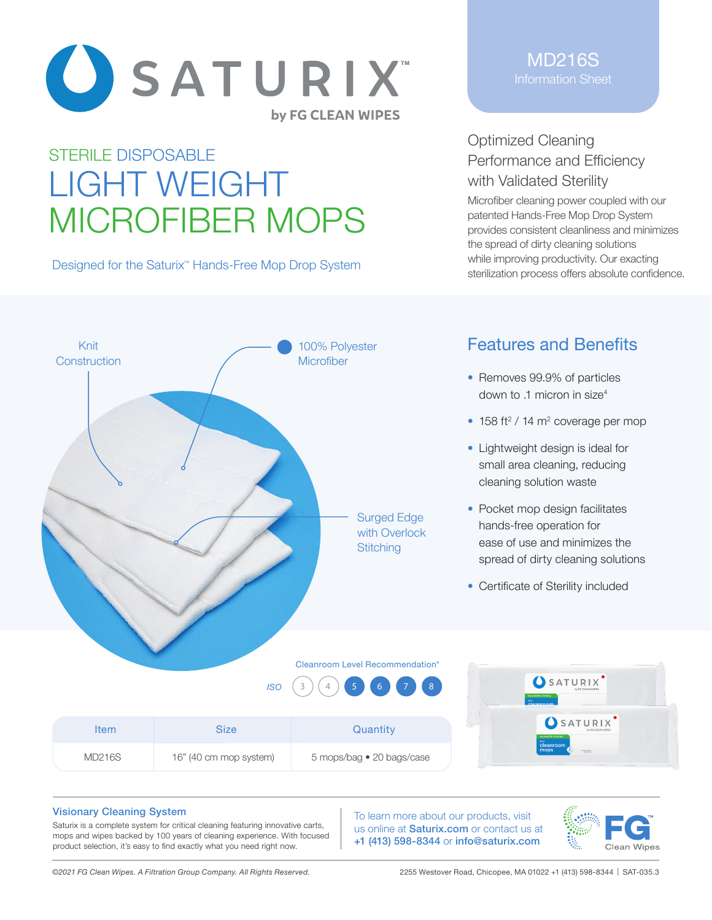

# STERILE DISPOSABLE LIGHT WEIGHT MICROFIBER MOPS

Designed for the Saturix<sup>™</sup> Hands-Free Mop Drop System

### MD216S Information Sheet

## Optimized Cleaning Performance and Efficiency with Validated Sterility

Microfiber cleaning power coupled with our patented Hands-Free Mop Drop System provides consistent cleanliness and minimizes the spread of dirty cleaning solutions while improving productivity. Our exacting sterilization process offers absolute confidence.



## Features and Benefits

- Removes 99.9% of particles down to .1 micron in size<sup>4</sup>
- $\bullet$  158 ft<sup>2</sup> / 14 m<sup>2</sup> coverage per mop
- Lightweight design is ideal for small area cleaning, reducing cleaning solution waste
- Pocket mop design facilitates hands-free operation for ease of use and minimizes the spread of dirty cleaning solutions
- Certificate of Sterility included

#### Cleanroom Level Recommendation\*



5 mops/bag • 20 bags/case



#### Visionary Cleaning System

Saturix is a complete system for critical cleaning featuring innovative carts, mops and wipes backed by 100 years of cleaning experience. With focused product selection, it's easy to find exactly what you need right now.

To learn more about our products, visit us online at **Saturix.com** or contact us at +1 (413) 598-8344 or info@saturix.com



MD216S 16" (40 cm mop system)